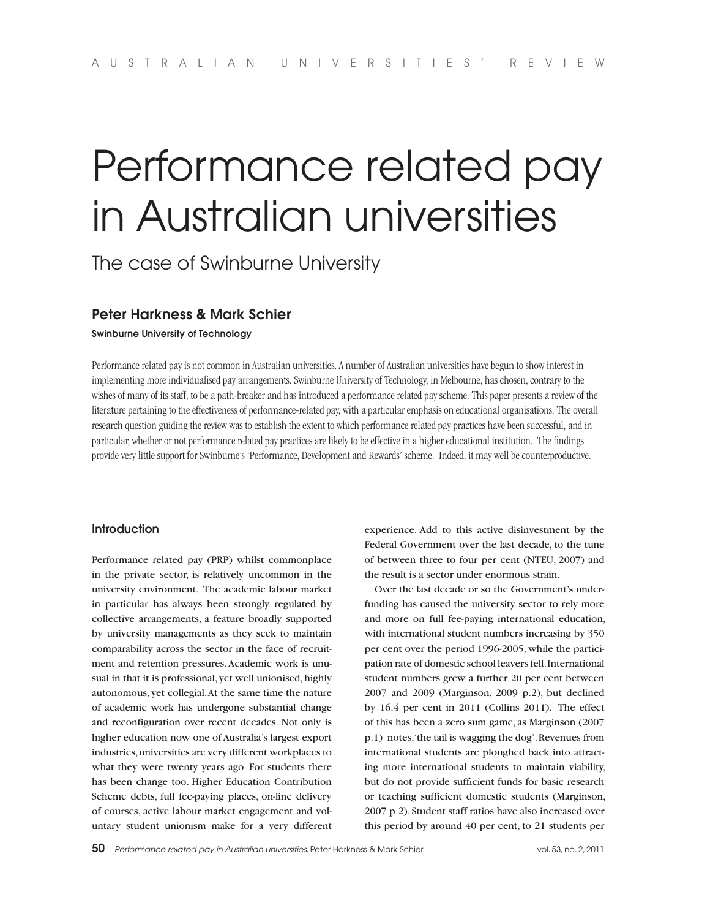# Performance related pay in Australian universities

The case of Swinburne University

# **Peter Harkness & Mark Schier**

**Swinburne University of Technology**

Performance related pay is not common in Australian universities. A number of Australian universities have begun to show interest in implementing more individualised pay arrangements. Swinburne University of Technology, in Melbourne, has chosen, contrary to the wishes of many of its staff, to be a path-breaker and has introduced a performance related pay scheme. This paper presents a review of the literature pertaining to the effectiveness of performance-related pay, with a particular emphasis on educational organisations. The overall research question guiding the review was to establish the extent to which performance related pay practices have been successful, and in particular, whether or not performance related pay practices are likely to be effective in a higher educational institution. The findings provide very little support for Swinburne's 'Performance, Development and Rewards' scheme. Indeed, it may well be counterproductive.

## **Introduction**

Performance related pay (PRP) whilst commonplace in the private sector, is relatively uncommon in the university environment. The academic labour market in particular has always been strongly regulated by collective arrangements, a feature broadly supported by university managements as they seek to maintain comparability across the sector in the face of recruitment and retention pressures. Academic work is unusual in that it is professional, yet well unionised, highly autonomous, yet collegial. At the same time the nature of academic work has undergone substantial change and reconfiguration over recent decades. Not only is higher education now one of Australia's largest export industries, universities are very different workplaces to what they were twenty years ago. For students there has been change too. Higher Education Contribution Scheme debts, full fee-paying places, on-line delivery of courses, active labour market engagement and voluntary student unionism make for a very different experience. Add to this active disinvestment by the Federal Government over the last decade, to the tune of between three to four per cent (NTEU, 2007) and the result is a sector under enormous strain.

Over the last decade or so the Government's underfunding has caused the university sector to rely more and more on full fee-paying international education, with international student numbers increasing by 350 per cent over the period 1996-2005, while the participation rate of domestic school leavers fell. International student numbers grew a further 20 per cent between 2007 and 2009 (Marginson, 2009 p.2), but declined by 16.4 per cent in 2011 (Collins 2011). The effect of this has been a zero sum game, as Marginson (2007 p.1) notes, 'the tail is wagging the dog'. Revenues from international students are ploughed back into attracting more international students to maintain viability, but do not provide sufficient funds for basic research or teaching sufficient domestic students (Marginson, 2007 p.2). Student staff ratios have also increased over this period by around 40 per cent, to 21 students per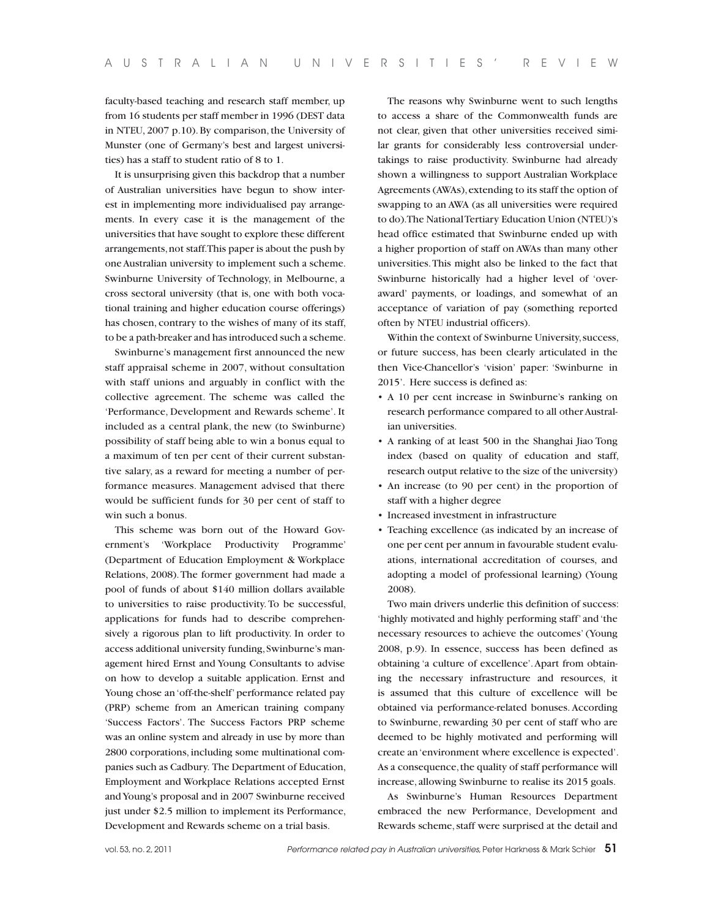faculty-based teaching and research staff member, up from 16 students per staff member in 1996 (DEST data in NTEU, 2007 p.10). By comparison, the University of Munster (one of Germany's best and largest universities) has a staff to student ratio of 8 to 1.

It is unsurprising given this backdrop that a number of Australian universities have begun to show interest in implementing more individualised pay arrangements. In every case it is the management of the universities that have sought to explore these different arrangements, not staff. This paper is about the push by one Australian university to implement such a scheme. Swinburne University of Technology, in Melbourne, a cross sectoral university (that is, one with both vocational training and higher education course offerings) has chosen, contrary to the wishes of many of its staff, to be a path-breaker and has introduced such a scheme.

Swinburne's management first announced the new staff appraisal scheme in 2007, without consultation with staff unions and arguably in conflict with the collective agreement. The scheme was called the 'Performance, Development and Rewards scheme'. It included as a central plank, the new (to Swinburne) possibility of staff being able to win a bonus equal to a maximum of ten per cent of their current substantive salary, as a reward for meeting a number of performance measures. Management advised that there would be sufficient funds for 30 per cent of staff to win such a bonus.

This scheme was born out of the Howard Government's 'Workplace Productivity Programme' (Department of Education Employment & Workplace Relations, 2008). The former government had made a pool of funds of about \$140 million dollars available to universities to raise productivity. To be successful, applications for funds had to describe comprehensively a rigorous plan to lift productivity. In order to access additional university funding, Swinburne's management hired Ernst and Young Consultants to advise on how to develop a suitable application. Ernst and Young chose an 'off-the-shelf' performance related pay (PRP) scheme from an American training company 'Success Factors'. The Success Factors PRP scheme was an online system and already in use by more than 2800 corporations, including some multinational companies such as Cadbury. The Department of Education, Employment and Workplace Relations accepted Ernst and Young's proposal and in 2007 Swinburne received just under \$2.5 million to implement its Performance, Development and Rewards scheme on a trial basis.

The reasons why Swinburne went to such lengths to access a share of the Commonwealth funds are not clear, given that other universities received similar grants for considerably less controversial undertakings to raise productivity. Swinburne had already shown a willingness to support Australian Workplace Agreements (AWAs), extending to its staff the option of swapping to an AWA (as all universities were required to do). The National Tertiary Education Union (NTEU)'s head office estimated that Swinburne ended up with a higher proportion of staff on AWAs than many other universities. This might also be linked to the fact that Swinburne historically had a higher level of 'overaward' payments, or loadings, and somewhat of an acceptance of variation of pay (something reported often by NTEU industrial officers).

Within the context of Swinburne University, success, or future success, has been clearly articulated in the then Vice-Chancellor's 'vision' paper: 'Swinburne in 2015'. Here success is defined as:

- A 10 per cent increase in Swinburne's ranking on research performance compared to all other Australian universities.
- s A ranking of at least 500 in the Shanghai Jiao Tong index (based on quality of education and staff, research output relative to the size of the university)
- An increase (to 90 per cent) in the proportion of staff with a higher degree
- Increased investment in infrastructure
- Teaching excellence (as indicated by an increase of one per cent per annum in favourable student evaluations, international accreditation of courses, and adopting a model of professional learning) (Young 2008).

Two main drivers underlie this definition of success: 'highly motivated and highly performing staff' and 'the necessary resources to achieve the outcomes' (Young 2008, p.9). In essence, success has been defined as obtaining 'a culture of excellence'. Apart from obtaining the necessary infrastructure and resources, it is assumed that this culture of excellence will be obtained via performance-related bonuses. According to Swinburne, rewarding 30 per cent of staff who are deemed to be highly motivated and performing will create an 'environment where excellence is expected'. As a consequence, the quality of staff performance will increase, allowing Swinburne to realise its 2015 goals.

As Swinburne's Human Resources Department embraced the new Performance, Development and Rewards scheme, staff were surprised at the detail and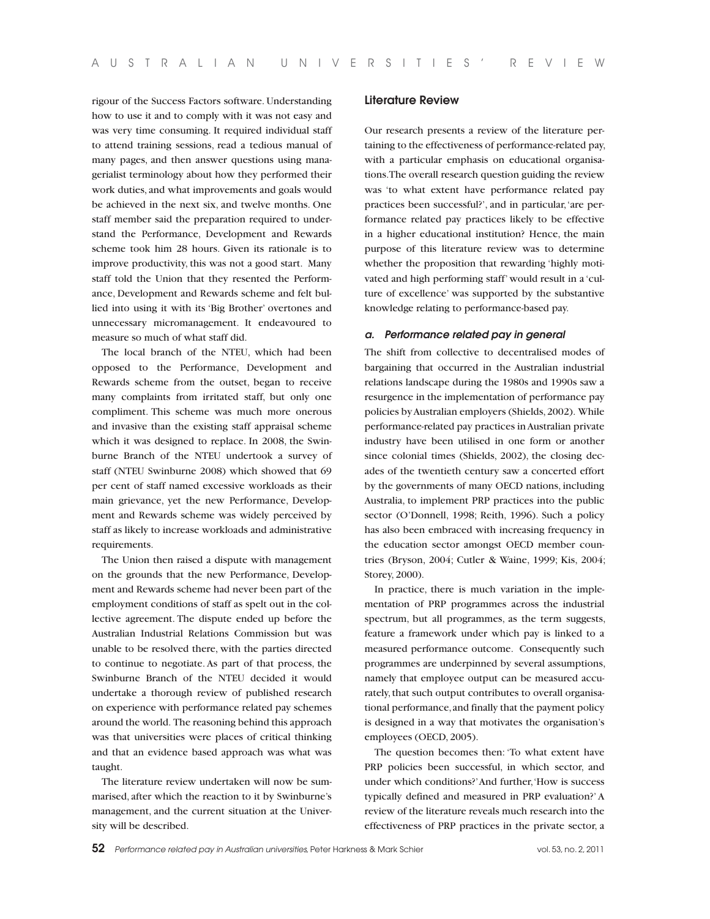rigour of the Success Factors software. Understanding how to use it and to comply with it was not easy and was very time consuming. It required individual staff to attend training sessions, read a tedious manual of many pages, and then answer questions using managerialist terminology about how they performed their work duties, and what improvements and goals would be achieved in the next six, and twelve months. One staff member said the preparation required to understand the Performance, Development and Rewards scheme took him 28 hours. Given its rationale is to improve productivity, this was not a good start. Many staff told the Union that they resented the Performance, Development and Rewards scheme and felt bullied into using it with its 'Big Brother' overtones and unnecessary micromanagement. It endeavoured to measure so much of what staff did.

The local branch of the NTEU, which had been opposed to the Performance, Development and Rewards scheme from the outset, began to receive many complaints from irritated staff, but only one compliment. This scheme was much more onerous and invasive than the existing staff appraisal scheme which it was designed to replace. In 2008, the Swinburne Branch of the NTEU undertook a survey of staff (NTEU Swinburne 2008) which showed that 69 per cent of staff named excessive workloads as their main grievance, yet the new Performance, Development and Rewards scheme was widely perceived by staff as likely to increase workloads and administrative requirements.

The Union then raised a dispute with management on the grounds that the new Performance, Development and Rewards scheme had never been part of the employment conditions of staff as spelt out in the collective agreement. The dispute ended up before the Australian Industrial Relations Commission but was unable to be resolved there, with the parties directed to continue to negotiate. As part of that process, the Swinburne Branch of the NTEU decided it would undertake a thorough review of published research on experience with performance related pay schemes around the world. The reasoning behind this approach was that universities were places of critical thinking and that an evidence based approach was what was taught.

The literature review undertaken will now be summarised, after which the reaction to it by Swinburne's management, and the current situation at the University will be described.

## **Literature Review**

Our research presents a review of the literature pertaining to the effectiveness of performance-related pay, with a particular emphasis on educational organisations. The overall research question guiding the review was 'to what extent have performance related pay practices been successful?', and in particular, 'are performance related pay practices likely to be effective in a higher educational institution? Hence, the main purpose of this literature review was to determine whether the proposition that rewarding 'highly motivated and high performing staff' would result in a 'culture of excellence' was supported by the substantive knowledge relating to performance-based pay.

#### *a. Performance related pay in general*

The shift from collective to decentralised modes of bargaining that occurred in the Australian industrial relations landscape during the 1980s and 1990s saw a resurgence in the implementation of performance pay policies by Australian employers (Shields, 2002). While performance-related pay practices in Australian private industry have been utilised in one form or another since colonial times (Shields, 2002), the closing decades of the twentieth century saw a concerted effort by the governments of many OECD nations, including Australia, to implement PRP practices into the public sector (O'Donnell, 1998; Reith, 1996). Such a policy has also been embraced with increasing frequency in the education sector amongst OECD member countries (Bryson, 2004; Cutler & Waine, 1999; Kis, 2004; Storey, 2000).

In practice, there is much variation in the implementation of PRP programmes across the industrial spectrum, but all programmes, as the term suggests, feature a framework under which pay is linked to a measured performance outcome. Consequently such programmes are underpinned by several assumptions, namely that employee output can be measured accurately, that such output contributes to overall organisational performance, and finally that the payment policy is designed in a way that motivates the organisation's employees (OECD, 2005).

The question becomes then: 'To what extent have PRP policies been successful, in which sector, and under which conditions?' And further, 'How is success typically defined and measured in PRP evaluation?' A review of the literature reveals much research into the effectiveness of PRP practices in the private sector, a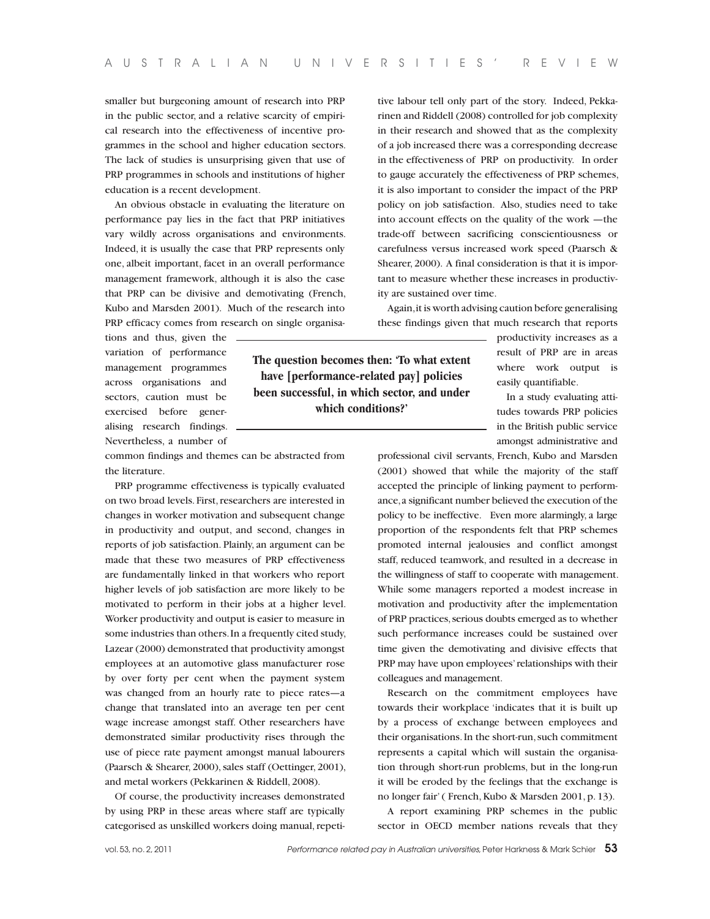smaller but burgeoning amount of research into PRP in the public sector, and a relative scarcity of empirical research into the effectiveness of incentive programmes in the school and higher education sectors. The lack of studies is unsurprising given that use of PRP programmes in schools and institutions of higher education is a recent development.

An obvious obstacle in evaluating the literature on performance pay lies in the fact that PRP initiatives vary wildly across organisations and environments. Indeed, it is usually the case that PRP represents only one, albeit important, facet in an overall performance management framework, although it is also the case that PRP can be divisive and demotivating (French, Kubo and Marsden 2001). Much of the research into PRP efficacy comes from research on single organisa-

tions and thus, given the variation of performance management programmes across organisations and sectors, caution must be exercised before generalising research findings. Nevertheless, a number of

common findings and themes can be abstracted from the literature.

PRP programme effectiveness is typically evaluated on two broad levels. First, researchers are interested in changes in worker motivation and subsequent change in productivity and output, and second, changes in reports of job satisfaction. Plainly, an argument can be made that these two measures of PRP effectiveness are fundamentally linked in that workers who report higher levels of job satisfaction are more likely to be motivated to perform in their jobs at a higher level. Worker productivity and output is easier to measure in some industries than others. In a frequently cited study, Lazear (2000) demonstrated that productivity amongst employees at an automotive glass manufacturer rose by over forty per cent when the payment system was changed from an hourly rate to piece rates—a change that translated into an average ten per cent wage increase amongst staff. Other researchers have demonstrated similar productivity rises through the use of piece rate payment amongst manual labourers (Paarsch & Shearer, 2000), sales staff (Oettinger, 2001), and metal workers (Pekkarinen & Riddell, 2008).

Of course, the productivity increases demonstrated by using PRP in these areas where staff are typically categorised as unskilled workers doing manual, repetitive labour tell only part of the story. Indeed, Pekkarinen and Riddell (2008) controlled for job complexity in their research and showed that as the complexity of a job increased there was a corresponding decrease in the effectiveness of PRP on productivity. In order to gauge accurately the effectiveness of PRP schemes, it is also important to consider the impact of the PRP policy on job satisfaction. Also, studies need to take into account effects on the quality of the work —the trade-off between sacrificing conscientiousness or carefulness versus increased work speed (Paarsch & Shearer, 2000). A final consideration is that it is important to measure whether these increases in productivity are sustained over time.

Again, it is worth advising caution before generalising these findings given that much research that reports

> productivity increases as a result of PRP are in areas where work output is easily quantifiable.

> In a study evaluating attitudes towards PRP policies in the British public service amongst administrative and

professional civil servants, French, Kubo and Marsden (2001) showed that while the majority of the staff accepted the principle of linking payment to performance, a significant number believed the execution of the policy to be ineffective. Even more alarmingly, a large proportion of the respondents felt that PRP schemes promoted internal jealousies and conflict amongst staff, reduced teamwork, and resulted in a decrease in the willingness of staff to cooperate with management. While some managers reported a modest increase in motivation and productivity after the implementation of PRP practices, serious doubts emerged as to whether such performance increases could be sustained over time given the demotivating and divisive effects that PRP may have upon employees' relationships with their colleagues and management.

Research on the commitment employees have towards their workplace 'indicates that it is built up by a process of exchange between employees and their organisations. In the short-run, such commitment represents a capital which will sustain the organisation through short-run problems, but in the long-run it will be eroded by the feelings that the exchange is no longer fair' ( French, Kubo & Marsden 2001, p. 13).

A report examining PRP schemes in the public sector in OECD member nations reveals that they

**The question becomes then: 'To what extent have [performance-related pay] policies been successful, in which sector, and under which conditions?'**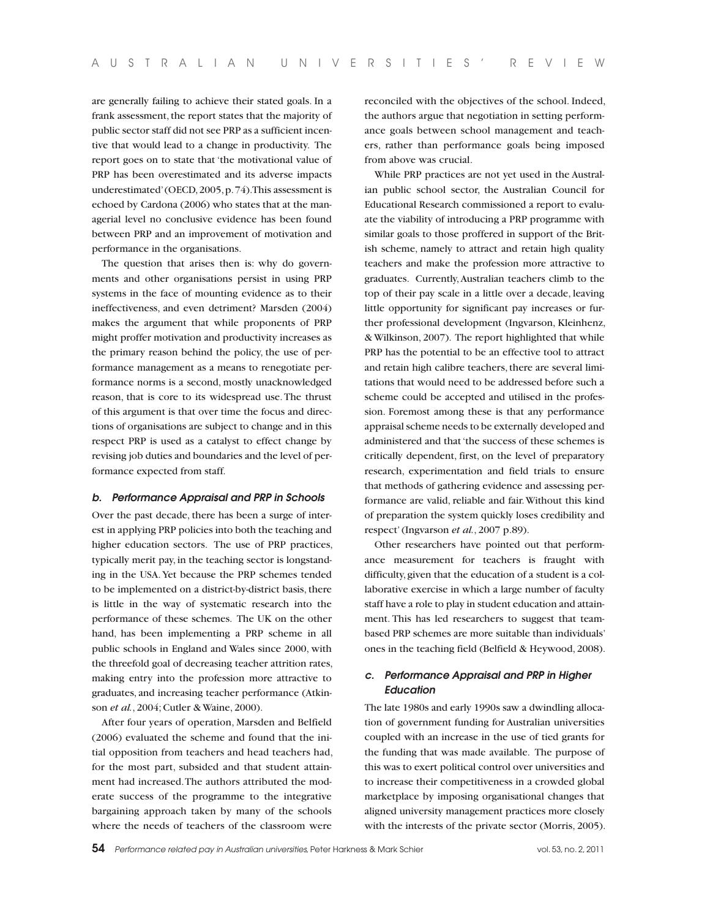are generally failing to achieve their stated goals. In a frank assessment, the report states that the majority of public sector staff did not see PRP as a sufficient incentive that would lead to a change in productivity. The report goes on to state that 'the motivational value of PRP has been overestimated and its adverse impacts underestimated' (OECD, 2005, p. 74). This assessment is echoed by Cardona (2006) who states that at the managerial level no conclusive evidence has been found between PRP and an improvement of motivation and performance in the organisations.

The question that arises then is: why do governments and other organisations persist in using PRP systems in the face of mounting evidence as to their ineffectiveness, and even detriment? Marsden (2004) makes the argument that while proponents of PRP might proffer motivation and productivity increases as the primary reason behind the policy, the use of performance management as a means to renegotiate performance norms is a second, mostly unacknowledged reason, that is core to its widespread use. The thrust of this argument is that over time the focus and directions of organisations are subject to change and in this respect PRP is used as a catalyst to effect change by revising job duties and boundaries and the level of performance expected from staff.

#### *b. Performance Appraisal and PRP in Schools*

Over the past decade, there has been a surge of interest in applying PRP policies into both the teaching and higher education sectors. The use of PRP practices, typically merit pay, in the teaching sector is longstanding in the USA. Yet because the PRP schemes tended to be implemented on a district-by-district basis, there is little in the way of systematic research into the performance of these schemes. The UK on the other hand, has been implementing a PRP scheme in all public schools in England and Wales since 2000, with the threefold goal of decreasing teacher attrition rates, making entry into the profession more attractive to graduates, and increasing teacher performance (Atkinson *et al.*, 2004; Cutler & Waine, 2000).

After four years of operation, Marsden and Belfield (2006) evaluated the scheme and found that the initial opposition from teachers and head teachers had, for the most part, subsided and that student attainment had increased. The authors attributed the moderate success of the programme to the integrative bargaining approach taken by many of the schools where the needs of teachers of the classroom were

reconciled with the objectives of the school. Indeed, the authors argue that negotiation in setting performance goals between school management and teachers, rather than performance goals being imposed from above was crucial.

While PRP practices are not yet used in the Australian public school sector, the Australian Council for Educational Research commissioned a report to evaluate the viability of introducing a PRP programme with similar goals to those proffered in support of the British scheme, namely to attract and retain high quality teachers and make the profession more attractive to graduates. Currently, Australian teachers climb to the top of their pay scale in a little over a decade, leaving little opportunity for significant pay increases or further professional development (Ingvarson, Kleinhenz, & Wilkinson, 2007). The report highlighted that while PRP has the potential to be an effective tool to attract and retain high calibre teachers, there are several limitations that would need to be addressed before such a scheme could be accepted and utilised in the profession. Foremost among these is that any performance appraisal scheme needs to be externally developed and administered and that 'the success of these schemes is critically dependent, first, on the level of preparatory research, experimentation and field trials to ensure that methods of gathering evidence and assessing performance are valid, reliable and fair. Without this kind of preparation the system quickly loses credibility and respect' (Ingvarson *et al.*, 2007 p.89).

Other researchers have pointed out that performance measurement for teachers is fraught with difficulty, given that the education of a student is a collaborative exercise in which a large number of faculty staff have a role to play in student education and attainment. This has led researchers to suggest that teambased PRP schemes are more suitable than individuals' ones in the teaching field (Belfield & Heywood, 2008).

# *c. Performance Appraisal and PRP in Higher Education*

The late 1980s and early 1990s saw a dwindling allocation of government funding for Australian universities coupled with an increase in the use of tied grants for the funding that was made available. The purpose of this was to exert political control over universities and to increase their competitiveness in a crowded global marketplace by imposing organisational changes that aligned university management practices more closely with the interests of the private sector (Morris, 2005).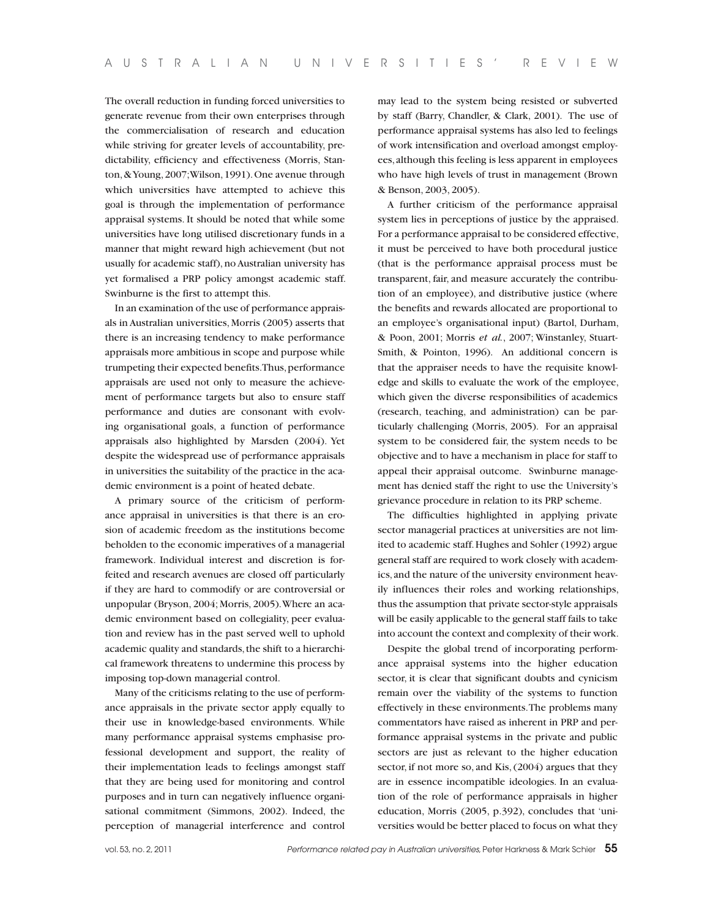The overall reduction in funding forced universities to generate revenue from their own enterprises through the commercialisation of research and education while striving for greater levels of accountability, predictability, efficiency and effectiveness (Morris, Stanton, & Young, 2007; Wilson, 1991). One avenue through which universities have attempted to achieve this goal is through the implementation of performance appraisal systems. It should be noted that while some universities have long utilised discretionary funds in a manner that might reward high achievement (but not usually for academic staff), no Australian university has yet formalised a PRP policy amongst academic staff. Swinburne is the first to attempt this.

In an examination of the use of performance appraisals in Australian universities, Morris (2005) asserts that there is an increasing tendency to make performance appraisals more ambitious in scope and purpose while trumpeting their expected benefits. Thus, performance appraisals are used not only to measure the achievement of performance targets but also to ensure staff performance and duties are consonant with evolving organisational goals, a function of performance appraisals also highlighted by Marsden (2004). Yet despite the widespread use of performance appraisals in universities the suitability of the practice in the academic environment is a point of heated debate.

A primary source of the criticism of performance appraisal in universities is that there is an erosion of academic freedom as the institutions become beholden to the economic imperatives of a managerial framework. Individual interest and discretion is forfeited and research avenues are closed off particularly if they are hard to commodify or are controversial or unpopular (Bryson, 2004; Morris, 2005). Where an academic environment based on collegiality, peer evaluation and review has in the past served well to uphold academic quality and standards, the shift to a hierarchical framework threatens to undermine this process by imposing top-down managerial control.

Many of the criticisms relating to the use of performance appraisals in the private sector apply equally to their use in knowledge-based environments. While many performance appraisal systems emphasise professional development and support, the reality of their implementation leads to feelings amongst staff that they are being used for monitoring and control purposes and in turn can negatively influence organisational commitment (Simmons, 2002). Indeed, the perception of managerial interference and control may lead to the system being resisted or subverted by staff (Barry, Chandler, & Clark, 2001). The use of performance appraisal systems has also led to feelings of work intensification and overload amongst employees, although this feeling is less apparent in employees who have high levels of trust in management (Brown & Benson, 2003, 2005).

A further criticism of the performance appraisal system lies in perceptions of justice by the appraised. For a performance appraisal to be considered effective, it must be perceived to have both procedural justice (that is the performance appraisal process must be transparent, fair, and measure accurately the contribution of an employee), and distributive justice (where the benefits and rewards allocated are proportional to an employee's organisational input) (Bartol, Durham, & Poon, 2001; Morris *et al.*, 2007; Winstanley, Stuart-Smith, & Pointon, 1996). An additional concern is that the appraiser needs to have the requisite knowledge and skills to evaluate the work of the employee, which given the diverse responsibilities of academics (research, teaching, and administration) can be particularly challenging (Morris, 2005). For an appraisal system to be considered fair, the system needs to be objective and to have a mechanism in place for staff to appeal their appraisal outcome. Swinburne management has denied staff the right to use the University's grievance procedure in relation to its PRP scheme.

The difficulties highlighted in applying private sector managerial practices at universities are not limited to academic staff. Hughes and Sohler (1992) argue general staff are required to work closely with academics, and the nature of the university environment heavily influences their roles and working relationships, thus the assumption that private sector-style appraisals will be easily applicable to the general staff fails to take into account the context and complexity of their work.

Despite the global trend of incorporating performance appraisal systems into the higher education sector, it is clear that significant doubts and cynicism remain over the viability of the systems to function effectively in these environments. The problems many commentators have raised as inherent in PRP and performance appraisal systems in the private and public sectors are just as relevant to the higher education sector, if not more so, and Kis, (2004) argues that they are in essence incompatible ideologies. In an evaluation of the role of performance appraisals in higher education, Morris (2005, p.392), concludes that 'universities would be better placed to focus on what they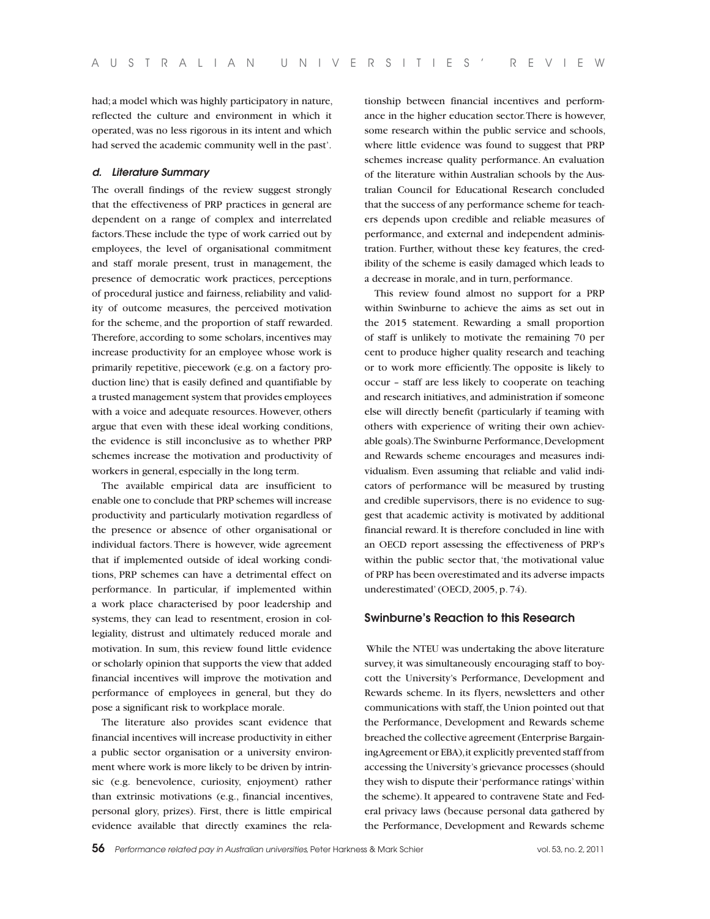had; a model which was highly participatory in nature, reflected the culture and environment in which it operated, was no less rigorous in its intent and which had served the academic community well in the past'.

# *d. Literature Summary*

The overall findings of the review suggest strongly that the effectiveness of PRP practices in general are dependent on a range of complex and interrelated factors. These include the type of work carried out by employees, the level of organisational commitment and staff morale present, trust in management, the presence of democratic work practices, perceptions of procedural justice and fairness, reliability and validity of outcome measures, the perceived motivation for the scheme, and the proportion of staff rewarded. Therefore, according to some scholars, incentives may increase productivity for an employee whose work is primarily repetitive, piecework (e.g. on a factory production line) that is easily defined and quantifiable by a trusted management system that provides employees with a voice and adequate resources. However, others argue that even with these ideal working conditions, the evidence is still inconclusive as to whether PRP schemes increase the motivation and productivity of workers in general, especially in the long term.

The available empirical data are insufficient to enable one to conclude that PRP schemes will increase productivity and particularly motivation regardless of the presence or absence of other organisational or individual factors. There is however, wide agreement that if implemented outside of ideal working conditions, PRP schemes can have a detrimental effect on performance. In particular, if implemented within a work place characterised by poor leadership and systems, they can lead to resentment, erosion in collegiality, distrust and ultimately reduced morale and motivation. In sum, this review found little evidence or scholarly opinion that supports the view that added financial incentives will improve the motivation and performance of employees in general, but they do pose a significant risk to workplace morale.

The literature also provides scant evidence that financial incentives will increase productivity in either a public sector organisation or a university environment where work is more likely to be driven by intrinsic (e.g. benevolence, curiosity, enjoyment) rather than extrinsic motivations (e.g., financial incentives, personal glory, prizes). First, there is little empirical evidence available that directly examines the relationship between financial incentives and performance in the higher education sector. There is however, some research within the public service and schools, where little evidence was found to suggest that PRP schemes increase quality performance. An evaluation of the literature within Australian schools by the Australian Council for Educational Research concluded that the success of any performance scheme for teachers depends upon credible and reliable measures of performance, and external and independent administration. Further, without these key features, the credibility of the scheme is easily damaged which leads to a decrease in morale, and in turn, performance.

This review found almost no support for a PRP within Swinburne to achieve the aims as set out in the 2015 statement. Rewarding a small proportion of staff is unlikely to motivate the remaining 70 per cent to produce higher quality research and teaching or to work more efficiently. The opposite is likely to occur – staff are less likely to cooperate on teaching and research initiatives, and administration if someone else will directly benefit (particularly if teaming with others with experience of writing their own achievable goals). The Swinburne Performance, Development and Rewards scheme encourages and measures individualism. Even assuming that reliable and valid indicators of performance will be measured by trusting and credible supervisors, there is no evidence to suggest that academic activity is motivated by additional financial reward. It is therefore concluded in line with an OECD report assessing the effectiveness of PRP's within the public sector that, 'the motivational value of PRP has been overestimated and its adverse impacts underestimated' (OECD, 2005, p. 74).

# **Swinburne's Reaction to this Research**

 While the NTEU was undertaking the above literature survey, it was simultaneously encouraging staff to boycott the University's Performance, Development and Rewards scheme. In its flyers, newsletters and other communications with staff, the Union pointed out that the Performance, Development and Rewards scheme breached the collective agreement (Enterprise Bargaining Agreement or EBA), it explicitly prevented staff from accessing the University's grievance processes (should they wish to dispute their 'performance ratings' within the scheme). It appeared to contravene State and Federal privacy laws (because personal data gathered by the Performance, Development and Rewards scheme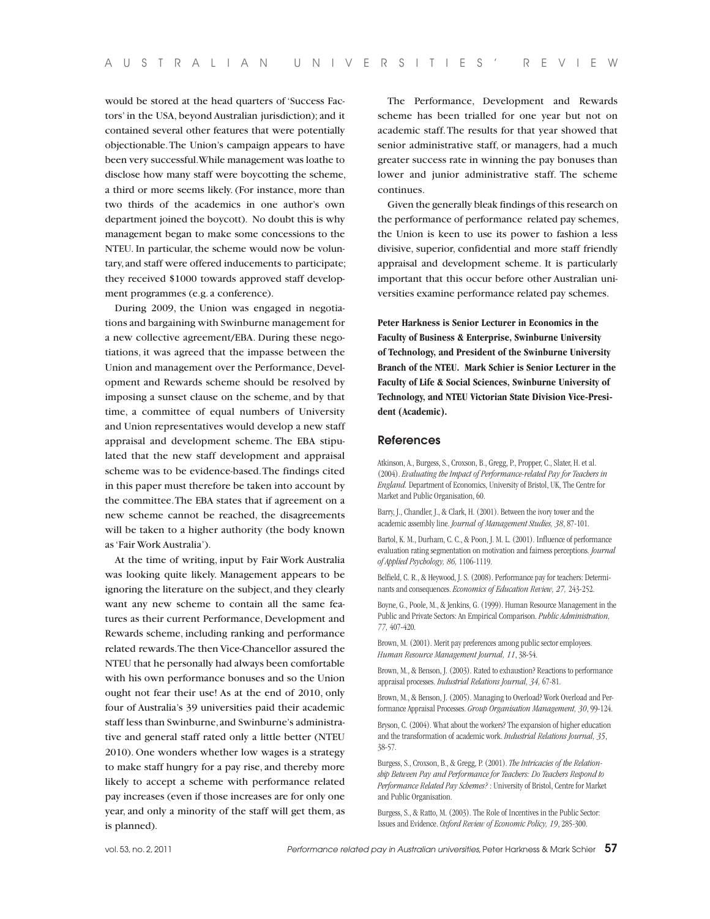would be stored at the head quarters of 'Success Factors' in the USA, beyond Australian jurisdiction); and it contained several other features that were potentially objectionable. The Union's campaign appears to have been very successful. While management was loathe to disclose how many staff were boycotting the scheme, a third or more seems likely. (For instance, more than two thirds of the academics in one author's own department joined the boycott). No doubt this is why management began to make some concessions to the NTEU. In particular, the scheme would now be voluntary, and staff were offered inducements to participate; they received \$1000 towards approved staff development programmes (e.g. a conference).

During 2009, the Union was engaged in negotiations and bargaining with Swinburne management for a new collective agreement/EBA. During these negotiations, it was agreed that the impasse between the Union and management over the Performance, Development and Rewards scheme should be resolved by imposing a sunset clause on the scheme, and by that time, a committee of equal numbers of University and Union representatives would develop a new staff appraisal and development scheme. The EBA stipulated that the new staff development and appraisal scheme was to be evidence-based. The findings cited in this paper must therefore be taken into account by the committee. The EBA states that if agreement on a new scheme cannot be reached, the disagreements will be taken to a higher authority (the body known as 'Fair Work Australia').

At the time of writing, input by Fair Work Australia was looking quite likely. Management appears to be ignoring the literature on the subject, and they clearly want any new scheme to contain all the same features as their current Performance, Development and Rewards scheme, including ranking and performance related rewards. The then Vice-Chancellor assured the NTEU that he personally had always been comfortable with his own performance bonuses and so the Union ought not fear their use! As at the end of 2010, only four of Australia's 39 universities paid their academic staff less than Swinburne, and Swinburne's administrative and general staff rated only a little better (NTEU 2010). One wonders whether low wages is a strategy to make staff hungry for a pay rise, and thereby more likely to accept a scheme with performance related pay increases (even if those increases are for only one year, and only a minority of the staff will get them, as is planned).

The Performance, Development and Rewards scheme has been trialled for one year but not on academic staff. The results for that year showed that senior administrative staff, or managers, had a much greater success rate in winning the pay bonuses than lower and junior administrative staff. The scheme continues.

Given the generally bleak findings of this research on the performance of performance related pay schemes, the Union is keen to use its power to fashion a less divisive, superior, confidential and more staff friendly appraisal and development scheme. It is particularly important that this occur before other Australian universities examine performance related pay schemes.

**Peter Harkness is Senior Lecturer in Economics in the Faculty of Business & Enterprise, Swinburne University of Technology, and President of the Swinburne University Branch of the NTEU. Mark Schier is Senior Lecturer in the Faculty of Life & Social Sciences, Swinburne University of Technology, and NTEU Victorian State Division Vice-President (Academic).**

### **References**

Atkinson, A., Burgess, S., Croxson, B., Gregg, P., Propper, C., Slater, H. et al. (2004). *Evaluating the Impact of Performance-related Pay for Teachers in England.* Department of Economics, University of Bristol, UK, The Centre for Market and Public Organisation, 60.

Barry, J., Chandler, J., & Clark, H. (2001). Between the ivory tower and the academic assembly line. *Journal of Management Studies, 38*, 87-101.

Bartol, K. M., Durham, C. C., & Poon, J. M. L. (2001). Influence of performance evaluation rating segmentation on motivation and fairness perceptions. *Journal of Applied Psychology, 86,* 1106-1119.

Belfield, C. R., & Heywood, J. S. (2008). Performance pay for teachers: Determinants and consequences. *Economics of Education Review, 27,* 243-252.

Boyne, G., Poole, M., & Jenkins, G. (1999). Human Resource Management in the Public and Private Sectors: An Empirical Comparison. *Public Administration, 77,* 407-420.

Brown, M. (2001). Merit pay preferences among public sector employees. *Human Resource Management Journal, 11*, 38-54.

Brown, M., & Benson, J. (2003). Rated to exhaustion? Reactions to performance appraisal processes. *Industrial Relations Journal, 34,* 67-81.

Brown, M., & Benson, J. (2005). Managing to Overload? Work Overload and Performance Appraisal Processes. *Group Organisation Management, 30*, 99-124.

Bryson, C. (2004). What about the workers? The expansion of higher education and the transformation of academic work. *Industrial Relations Journal, 35*, 38-57.

Burgess, S., Croxson, B., & Gregg, P. (2001). *The Intricacies of the Relationship Between Pay and Performance for Teachers: Do Teachers Respond to Performance Related Pay Schemes?* : University of Bristol, Centre for Market and Public Organisation.

Burgess, S., & Ratto, M. (2003). The Role of Incentives in the Public Sector: Issues and Evidence. *Oxford Review of Economic Policy, 19*, 285-300.